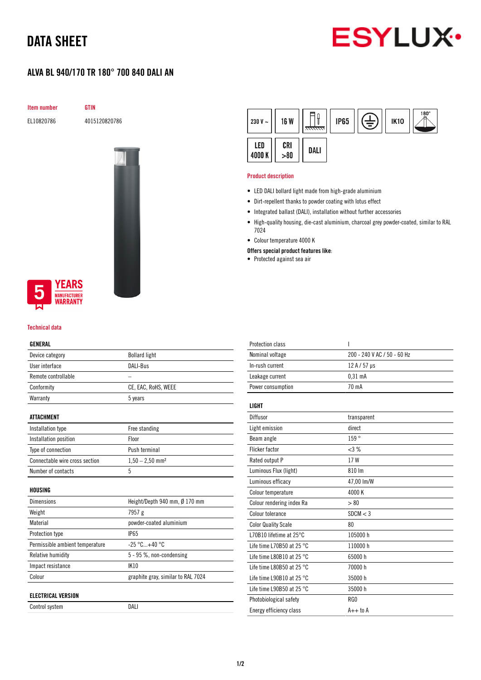# DATA SHEET



## ALVA BL 940/170 TR 180° 700 840 DALI AN



EL10820786 4015120820786





### Technical data

#### GENERAL

| Device category                 | <b>Bollard light</b>               |
|---------------------------------|------------------------------------|
| User interface                  | DALI-Bus                           |
| Remote controllable             |                                    |
| Conformity                      | CE, EAC, RoHS, WEEE                |
| Warranty                        | 5 years                            |
| ATTACHMENT                      |                                    |
| Installation type               | Free standing                      |
| Installation position           | Floor                              |
| Type of connection              | Push terminal                      |
| Connectable wire cross section  | $1,50 - 2,50$ mm <sup>2</sup>      |
| Number of contacts              | 5                                  |
| HOUSING                         |                                    |
| <b>Dimensions</b>               | Height/Depth 940 mm, Ø 170 mm      |
| Weight                          | 7957 g                             |
| Material                        | powder-coated aluminium            |
| Protection type                 | <b>IP65</b>                        |
| Permissible ambient temperature | $-25 °C+40 °C$                     |
| Relative humidity               | $5 - 95$ %, non-condensing         |
| Impact resistance               | IK10                               |
| Colour                          | graphite gray, similar to RAL 7024 |
| <b>ELECTRICAL VERSION</b>       |                                    |
| Control system                  | DALI                               |

| 230 V $\sim$  | <b>16 W</b> | <del>anna</del> | <b>IP65</b> | 言 | <b>IK10</b> | $^{180^{\circ}}$ |
|---------------|-------------|-----------------|-------------|---|-------------|------------------|
| LED<br>4000 K | CRI > 80    | DALI            |             |   |             |                  |

#### Product description

- LED DALI bollard light made from high-grade aluminium
- Dirt-repellent thanks to powder coating with lotus effect
- Integrated ballast (DALI), installation without further accessories
- High-quality housing, die-cast aluminium, charcoal grey powder-coated, similar to RAL 7024
- Colour temperature 4000 K
- Offers special product features like:
- Protected against sea air

| <b>Protection class</b>             | I                           |
|-------------------------------------|-----------------------------|
| Nominal voltage                     | 200 - 240 V AC / 50 - 60 Hz |
| In-rush current                     | 12 A / 57 µs                |
| Leakage current                     | $0,31$ mA                   |
| Power consumption                   | 70 mA                       |
|                                     |                             |
| LIGHT                               |                             |
| Diffusor                            | transparent                 |
| Light emission                      | direct                      |
| Beam angle                          | 159°                        |
| <b>Flicker factor</b>               | <3%                         |
| Rated output P                      | 17W                         |
| Luminous Flux (light)               | 810 Im                      |
| Luminous efficacy                   | 47,00 lm/W                  |
| Colour temperature                  | 4000 K                      |
| Colour rendering index Ra           | > 80                        |
| Colour tolerance                    | SDCM < 3                    |
| <b>Color Quality Scale</b>          | 80                          |
| L70B10 lifetime at 25°C             | 105000 h                    |
| Life time L70B50 at 25 $^{\circ}$ C | 110000 h                    |
| Life time L80B10 at 25 $^{\circ}$ C | 65000 h                     |
| Life time L80B50 at 25 $^{\circ}$ C | 70000 h                     |
| Life time L90B10 at 25 $^{\circ}$ C | 35000h                      |
| Life time L90B50 at 25 $^{\circ}$ C | 35000 h                     |
| Photobiological safety              | RG <sub>0</sub>             |
| Energy efficiency class             | $A++$ to $A$                |
|                                     |                             |